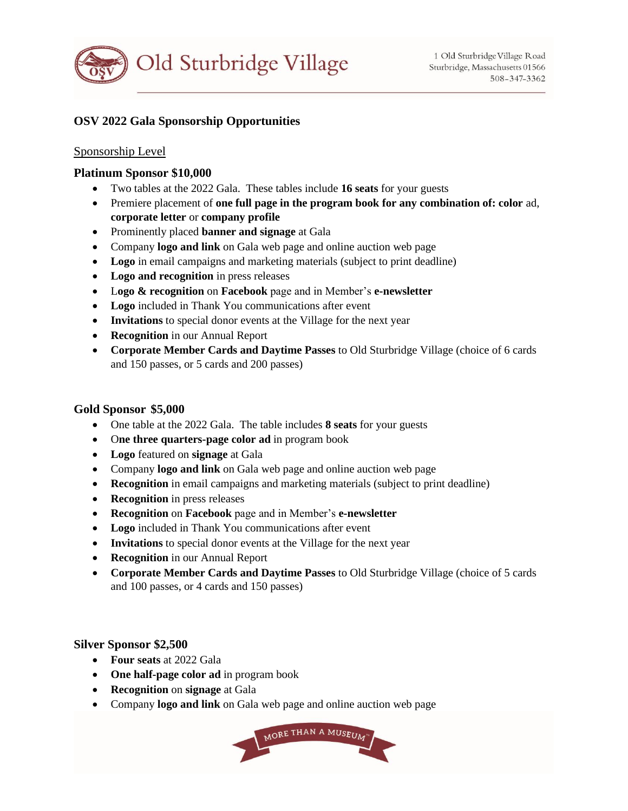

# **OSV 2022 Gala Sponsorship Opportunities**

### Sponsorship Level

## **Platinum Sponsor \$10,000**

- Two tables at the 2022 Gala. These tables include **16 seats** for your guests
- Premiere placement of **one full page in the program book for any combination of: color** ad, **corporate letter** or **company profile**
- Prominently placed **banner and signage** at Gala
- Company **logo and link** on Gala web page and online auction web page
- **Logo** in email campaigns and marketing materials (subject to print deadline)
- **Logo and recognition** in press releases
- L**ogo & recognition** on **Facebook** page and in Member's **e-newsletter**
- **Logo** included in Thank You communications after event
- **Invitations** to special donor events at the Village for the next year
- **Recognition** in our Annual Report
- **Corporate Member Cards and Daytime Passes** to Old Sturbridge Village (choice of 6 cards and 150 passes, or 5 cards and 200 passes)

### **Gold Sponsor \$5,000**

- One table at the 2022 Gala. The table includes **8 seats** for your guests
- O**ne three quarters-page color ad** in program book
- **Logo** featured on **signage** at Gala
- Company **logo and link** on Gala web page and online auction web page
- **Recognition** in email campaigns and marketing materials (subject to print deadline)
- **Recognition** in press releases
- **Recognition** on **Facebook** page and in Member's **e-newsletter**
- **Logo** included in Thank You communications after event
- **Invitations** to special donor events at the Village for the next year
- **Recognition** in our Annual Report
- **Corporate Member Cards and Daytime Passes** to Old Sturbridge Village (choice of 5 cards and 100 passes, or 4 cards and 150 passes)

#### **Silver Sponsor \$2,500**

- **Four seats** at 2022 Gala
- **One half-page color ad** in program book
- **Recognition** on **signage** at Gala
- Company **logo and link** on Gala web page and online auction web page